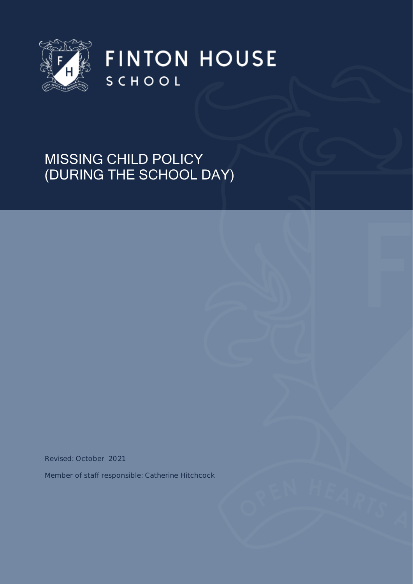

**FINTON HOUSE** SCHOOL

# MISSING CHILD POLICY (DURING THE SCHOOL DAY)

Revised: October 2021

Member of staff responsible: Catherine Hitchcock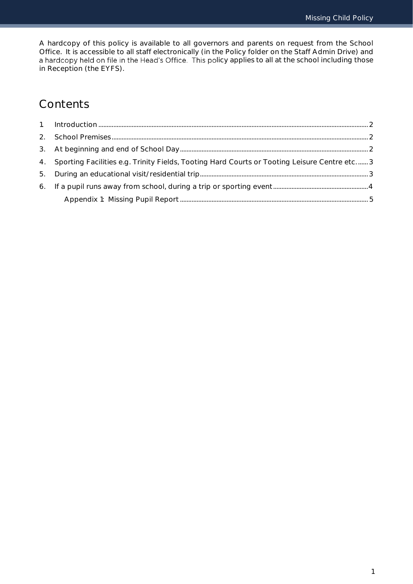A hardcopy of this policy is available to all governors and parents on request from the School Office. It is accessible to all staff electronically (in the Policy folder on the Staff Admin Drive) and a hardcopy held on file in the Head's Office. This policy applies to all at the school including those in Reception (the EYFS).

# Contents

| 4. Sporting Facilities e.g. Trinity Fields, Tooting Hard Courts or Tooting Leisure Centre etc 3 |  |
|-------------------------------------------------------------------------------------------------|--|
|                                                                                                 |  |
|                                                                                                 |  |
|                                                                                                 |  |
|                                                                                                 |  |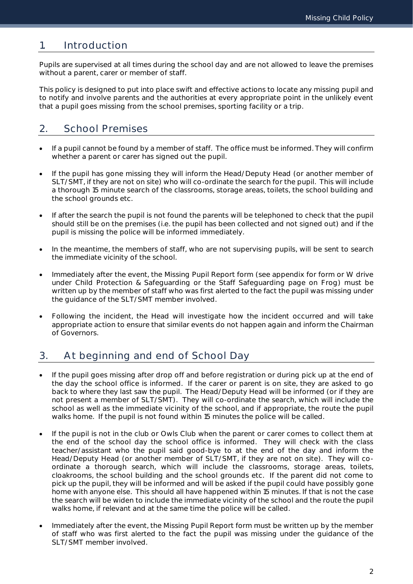## <span id="page-2-0"></span>1. Introduction

Pupils are supervised at all times during the school day and are not allowed to leave the premises without a parent, carer or member of staff.

This policy is designed to put into place swift and effective actions to locate any missing pupil and to notify and involve parents and the authorities at every appropriate point in the unlikely event that a pupil goes missing from the school premises, sporting facility or a trip.

# <span id="page-2-1"></span>2. School Premises

- If a pupil cannot be found by a member of staff. The office must be informed. They will confirm whether a parent or carer has signed out the pupil.
- If the pupil has gone missing they will inform the Head/Deputy Head (or another member of SLT/SMT, if they are not on site) who will co-ordinate the search for the pupil. This will include a thorough 15 minute search of the classrooms, storage areas, toilets, the school building and the school grounds etc.
- If after the search the pupil is not found the parents will be telephoned to check that the pupil should still be on the premises (i.e. the pupil has been collected and not signed out) and if the pupil is missing the police will be informed immediately.
- In the meantime, the members of staff, who are not supervising pupils, will be sent to search the immediate vicinity of the school.
- Immediately after the event, the Missing Pupil Report form (see appendix for form or W drive under Child Protection & Safeguarding or the Staff Safeguarding page on Frog) must be written up by the member of staff who was first alerted to the fact the pupil was missing under the guidance of the SLT/SMT member involved.
- Following the incident, the Head will investigate how the incident occurred and will take appropriate action to ensure that similar events do not happen again and inform the Chairman of Governors.

# <span id="page-2-2"></span>3. At beginning and end of School Day

- If the pupil goes missing after drop off and before registration or during pick up at the end of the day the school office is informed. If the carer or parent is on site, they are asked to go back to where they last saw the pupil. The Head/Deputy Head will be informed (or if they are not present a member of SLT/SMT). They will co-ordinate the search, which will include the school as well as the immediate vicinity of the school, and if appropriate, the route the pupil walks home. If the pupil is not found within 15 minutes the police will be called.
- If the pupil is not in the club or Owls Club when the parent or carer comes to collect them at the end of the school day the school office is informed. They will check with the class teacher/assistant who the pupil said good-bye to at the end of the day and inform the Head/Deputy Head (or another member of SLT/SMT, if they are not on site). They will coordinate a thorough search, which will include the classrooms, storage areas, toilets, cloakrooms, the school building and the school grounds etc. If the parent did not come to pick up the pupil, they will be informed and will be asked if the pupil could have possibly gone home with anyone else. This should all have happened within 15 minutes. If that is not the case the search will be widen to include the immediate vicinity of the school and the route the pupil walks home, if relevant and at the same time the police will be called.
- Immediately after the event, the Missing Pupil Report form must be written up by the member of staff who was first alerted to the fact the pupil was missing under the guidance of the SLT/SMT member involved.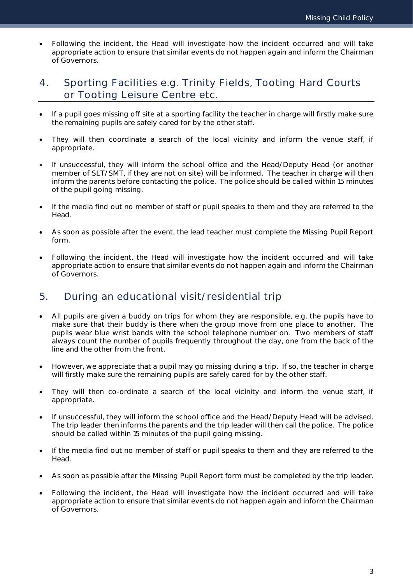Following the incident, the Head will investigate how the incident occurred and will take appropriate action to ensure that similar events do not happen again and inform the Chairman of Governors.

## <span id="page-3-0"></span>4. Sporting Facilities e.g. Trinity Fields, Tooting Hard Courts or Tooting Leisure Centre etc.

- If a pupil goes missing off site at a sporting facility the teacher in charge will firstly make sure the remaining pupils are safely cared for by the other staff.
- They will then coordinate a search of the local vicinity and inform the venue staff, if appropriate.
- If unsuccessful, they will inform the school office and the Head/Deputy Head (or another member of SLT/SMT, if they are not on site) will be informed. The teacher in charge will then inform the parents before contacting the police. The police should be called within 15 minutes of the pupil going missing.
- If the media find out no member of staff or pupil speaks to them and they are referred to the Head.
- As soon as possible after the event, the lead teacher must complete the Missing Pupil Report form.
- Following the incident, the Head will investigate how the incident occurred and will take appropriate action to ensure that similar events do not happen again and inform the Chairman of Governors.

## <span id="page-3-1"></span>5. During an educational visit/residential trip

- All pupils are given a buddy on trips for whom they are responsible, e.g. the pupils have to make sure that their buddy is there when the group move from one place to another. The pupils wear blue wrist bands with the school telephone number on. Two members of staff always count the number of pupils frequently throughout the day, one from the back of the line and the other from the front.
- However, we appreciate that a pupil may go missing during a trip. If so, the teacher in charge will firstly make sure the remaining pupils are safely cared for by the other staff.
- They will then co-ordinate a search of the local vicinity and inform the venue staff, if appropriate.
- If unsuccessful, they will inform the school office and the Head/Deputy Head will be advised. The trip leader then informs the parents and the trip leader will then call the police. The police should be called within 15 minutes of the pupil going missing.
- If the media find out no member of staff or pupil speaks to them and they are referred to the Head.
- As soon as possible after the Missing Pupil Report form must be completed by the trip leader.
- Following the incident, the Head will investigate how the incident occurred and will take appropriate action to ensure that similar events do not happen again and inform the Chairman of Governors.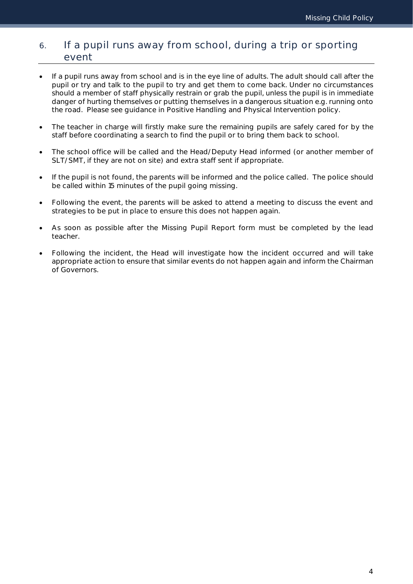## <span id="page-4-0"></span>6. If a pupil runs away from school, during a trip or sporting event

- If a pupil runs away from school and is in the eye line of adults. The adult should call after the pupil or try and talk to the pupil to try and get them to come back. Under no circumstances should a member of staff physically restrain or grab the pupil, unless the pupil is in immediate danger of hurting themselves or putting themselves in a dangerous situation e.g. running onto the road. Please see guidance in Positive Handling and Physical Intervention policy.
- The teacher in charge will firstly make sure the remaining pupils are safely cared for by the staff before coordinating a search to find the pupil or to bring them back to school.
- The school office will be called and the Head/Deputy Head informed (or another member of SLT/SMT, if they are not on site) and extra staff sent if appropriate.
- If the pupil is not found, the parents will be informed and the police called. The police should be called within 15 minutes of the pupil going missing.
- Following the event, the parents will be asked to attend a meeting to discuss the event and strategies to be put in place to ensure this does not happen again.
- As soon as possible after the Missing Pupil Report form must be completed by the lead teacher.
- Following the incident, the Head will investigate how the incident occurred and will take appropriate action to ensure that similar events do not happen again and inform the Chairman of Governors.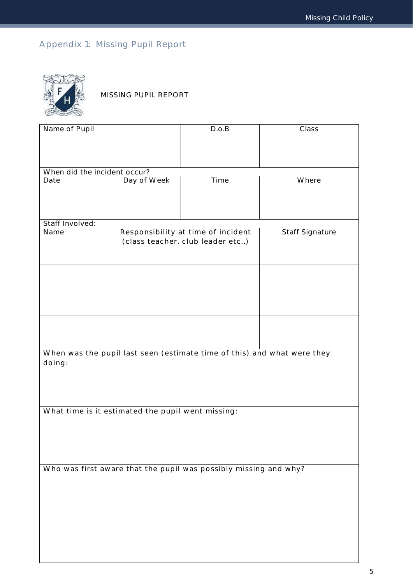# <span id="page-5-0"></span>Appendix 1: Missing Pupil Report



MISSING PUPIL REPORT

| Name of Pupil                                     |             | D.o.B                                                                   | Class           |
|---------------------------------------------------|-------------|-------------------------------------------------------------------------|-----------------|
|                                                   |             |                                                                         |                 |
|                                                   |             |                                                                         |                 |
| When did the incident occur?                      |             |                                                                         |                 |
| Date                                              | Day of Week | Time                                                                    | Where           |
|                                                   |             |                                                                         |                 |
|                                                   |             |                                                                         |                 |
|                                                   |             |                                                                         |                 |
| Staff Involved:<br>Name                           |             | Responsibility at time of incident                                      | Staff Signature |
|                                                   |             | (class teacher, club leader etc)                                        |                 |
|                                                   |             |                                                                         |                 |
|                                                   |             |                                                                         |                 |
|                                                   |             |                                                                         |                 |
|                                                   |             |                                                                         |                 |
|                                                   |             |                                                                         |                 |
|                                                   |             |                                                                         |                 |
|                                                   |             |                                                                         |                 |
|                                                   |             |                                                                         |                 |
|                                                   |             | When was the pupil last seen (estimate time of this) and what were they |                 |
| doing:                                            |             |                                                                         |                 |
|                                                   |             |                                                                         |                 |
|                                                   |             |                                                                         |                 |
|                                                   |             |                                                                         |                 |
| What time is it estimated the pupil went missing: |             |                                                                         |                 |
|                                                   |             |                                                                         |                 |
|                                                   |             |                                                                         |                 |
|                                                   |             |                                                                         |                 |
|                                                   |             | Who was first aware that the pupil was possibly missing and why?        |                 |
|                                                   |             |                                                                         |                 |
|                                                   |             |                                                                         |                 |
|                                                   |             |                                                                         |                 |
|                                                   |             |                                                                         |                 |
|                                                   |             |                                                                         |                 |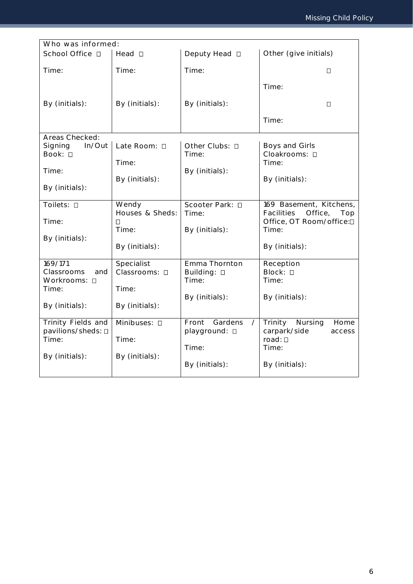| Who was informed:            |                             |                                    |                                                         |
|------------------------------|-----------------------------|------------------------------------|---------------------------------------------------------|
| School Office □              | Head <b>D</b>               | Deputy Head □                      | Other (give initials)                                   |
| Time:                        | Time:                       | Time:                              | О                                                       |
|                              |                             |                                    | Time:                                                   |
| By (initials):               | By (initials):              | By (initials):                     | $\Box$                                                  |
|                              |                             |                                    | Time:                                                   |
| Areas Checked:               |                             |                                    |                                                         |
| Signing<br>In/Out<br>Book: 0 | Late Room: D                | Other Clubs: 0<br>Time:            | Boys and Girls<br>Cloakrooms: 0                         |
|                              | Time:                       |                                    | Time:                                                   |
| Time:                        | By (initials):              | By (initials):                     | By (initials):                                          |
| By (initials):               |                             |                                    |                                                         |
| Toilets: 0                   | Wendy<br>Houses & Sheds:    | Scooter Park: □<br>Time:           | 169 Basement, Kitchens,<br>Facilities<br>Office,<br>Top |
| Time:                        | $\Box$                      |                                    | Office, OT Room/office:D                                |
| By (initials):               | Time:                       | By (initials):                     | Time:                                                   |
|                              | By (initials):              |                                    | By (initials):                                          |
| 169/171<br>Classrooms<br>and | Specialist<br>Classrooms: □ | Emma Thornton                      | Reception<br>Block: 0                                   |
| Workrooms: 0                 |                             | Building: □<br>Time:               | Time:                                                   |
| Time:                        | Time:                       | By (initials):                     | By (initials):                                          |
| By (initials):               | By (initials):              |                                    |                                                         |
| Trinity Fields and           | Minibuses: 0                | Front<br>Gardens<br>$\overline{1}$ | Home<br>Trinity<br>Nursing                              |
| pavilions/sheds: 0<br>Time:  | Time:                       | playground: D                      | carpark/side<br>access<br>$road: \Box$                  |
|                              |                             | Time:                              | Time:                                                   |
| By (initials):               | By (initials):              | By (initials):                     | By (initials):                                          |